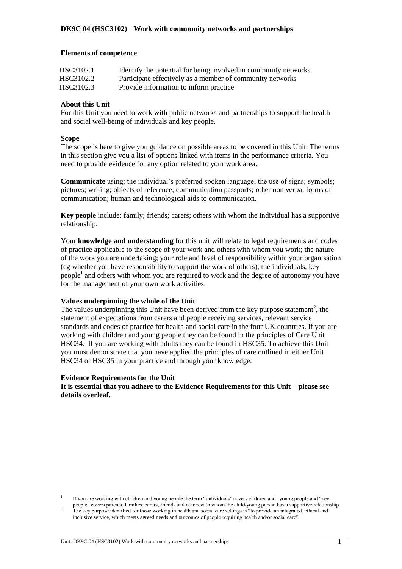#### **Elements of competence**

| HSC3102.1 | Identify the potential for being involved in community networks |
|-----------|-----------------------------------------------------------------|
| HSC3102.2 | Participate effectively as a member of community networks       |
| HSC3102.3 | Provide information to inform practice                          |

### **About this Unit**

For this Unit you need to work with public networks and partnerships to support the health and social well-being of individuals and key people.

#### **Scope**

l

The scope is here to give you guidance on possible areas to be covered in this Unit. The terms in this section give you a list of options linked with items in the performance criteria. You need to provide evidence for any option related to your work area.

**Communicate** using: the individual's preferred spoken language; the use of signs; symbols; pictures; writing; objects of reference; communication passports; other non verbal forms of communication; human and technological aids to communication.

**Key people** include: family; friends; carers; others with whom the individual has a supportive relationship.

Your **knowledge and understanding** for this unit will relate to legal requirements and codes of practice applicable to the scope of your work and others with whom you work; the nature of the work you are undertaking; your role and level of responsibility within your organisation (eg whether you have responsibility to support the work of others); the individuals, key people<sup>1</sup> and others with whom you are required to work and the degree of autonomy you have for the management of your own work activities.

#### **Values underpinning the whole of the Unit**

The values underpinning this Unit have been derived from the key purpose statement<sup>2</sup>, the statement of expectations from carers and people receiving services, relevant service standards and codes of practice for health and social care in the four UK countries. If you are working with children and young people they can be found in the principles of Care Unit HSC34. If you are working with adults they can be found in HSC35. To achieve this Unit you must demonstrate that you have applied the principles of care outlined in either Unit HSC34 or HSC35 in your practice and through your knowledge.

#### **Evidence Requirements for the Unit**

**It is essential that you adhere to the Evidence Requirements for this Unit – please see details overleaf.** 

Unit: DK9C 04 (HSC3102) Work with community networks and partnerships 1

<sup>1</sup> If you are working with children and young people the term "individuals" covers children and young people and "key people" covers parents, families, carers, friends and others with whom the child/young person has a supportive relationship

 $2<sup>2</sup>$  The key purpose identified for those working in health and social care settings is "to provide an integrated, ethical and inclusive service, which meets agreed needs and outcomes of people requiring health and/or social care"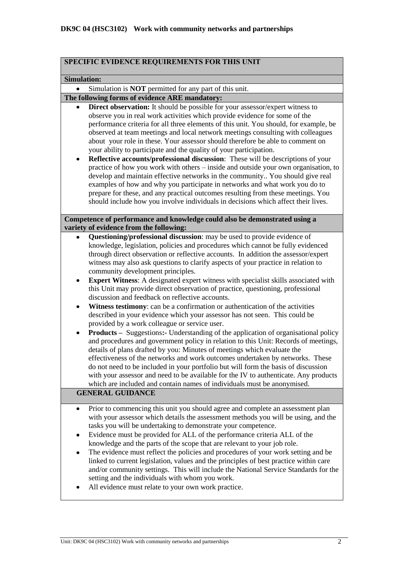| SPECIFIC EVIDENCE REQUIREMENTS FOR THIS UNIT                                                                                                                                                                                                                                                                                                                                                                                                                                                                                                                                                                                                                                                                                                                                                                                                                                                                                                                                                                                                                                                                                                                                                                                                                                                                                                                                                                                                                                   |
|--------------------------------------------------------------------------------------------------------------------------------------------------------------------------------------------------------------------------------------------------------------------------------------------------------------------------------------------------------------------------------------------------------------------------------------------------------------------------------------------------------------------------------------------------------------------------------------------------------------------------------------------------------------------------------------------------------------------------------------------------------------------------------------------------------------------------------------------------------------------------------------------------------------------------------------------------------------------------------------------------------------------------------------------------------------------------------------------------------------------------------------------------------------------------------------------------------------------------------------------------------------------------------------------------------------------------------------------------------------------------------------------------------------------------------------------------------------------------------|
| <b>Simulation:</b>                                                                                                                                                                                                                                                                                                                                                                                                                                                                                                                                                                                                                                                                                                                                                                                                                                                                                                                                                                                                                                                                                                                                                                                                                                                                                                                                                                                                                                                             |
| Simulation is <b>NOT</b> permitted for any part of this unit.                                                                                                                                                                                                                                                                                                                                                                                                                                                                                                                                                                                                                                                                                                                                                                                                                                                                                                                                                                                                                                                                                                                                                                                                                                                                                                                                                                                                                  |
| The following forms of evidence ARE mandatory:                                                                                                                                                                                                                                                                                                                                                                                                                                                                                                                                                                                                                                                                                                                                                                                                                                                                                                                                                                                                                                                                                                                                                                                                                                                                                                                                                                                                                                 |
| <b>Direct observation:</b> It should be possible for your assessor/expert witness to<br>observe you in real work activities which provide evidence for some of the<br>performance criteria for all three elements of this unit. You should, for example, be<br>observed at team meetings and local network meetings consulting with colleagues<br>about your role in these. Your assessor should therefore be able to comment on<br>your ability to participate and the quality of your participation.<br>Reflective accounts/professional discussion: These will be descriptions of your<br>٠<br>practice of how you work with others - inside and outside your own organisation, to<br>develop and maintain effective networks in the community You should give real<br>examples of how and why you participate in networks and what work you do to<br>prepare for these, and any practical outcomes resulting from these meetings. You<br>should include how you involve individuals in decisions which affect their lives.                                                                                                                                                                                                                                                                                                                                                                                                                                                 |
| Competence of performance and knowledge could also be demonstrated using a<br>variety of evidence from the following:                                                                                                                                                                                                                                                                                                                                                                                                                                                                                                                                                                                                                                                                                                                                                                                                                                                                                                                                                                                                                                                                                                                                                                                                                                                                                                                                                          |
| Questioning/professional discussion: may be used to provide evidence of<br>knowledge, legislation, policies and procedures which cannot be fully evidenced<br>through direct observation or reflective accounts. In addition the assessor/expert<br>witness may also ask questions to clarify aspects of your practice in relation to<br>community development principles.<br><b>Expert Witness:</b> A designated expert witness with specialist skills associated with<br>٠<br>this Unit may provide direct observation of practice, questioning, professional<br>discussion and feedback on reflective accounts.<br>Witness testimony: can be a confirmation or authentication of the activities<br>٠<br>described in your evidence which your assessor has not seen. This could be<br>provided by a work colleague or service user.<br><b>Products</b> – Suggestions: Understanding of the application of organisational policy<br>٠<br>and procedures and government policy in relation to this Unit: Records of meetings,<br>details of plans drafted by you: Minutes of meetings which evaluate the<br>effectiveness of the networks and work outcomes undertaken by networks. These<br>do not need to be included in your portfolio but will form the basis of discussion<br>with your assessor and need to be available for the IV to authenticate. Any products<br>which are included and contain names of individuals must be anonymised.<br><b>GENERAL GUIDANCE</b> |
| Prior to commencing this unit you should agree and complete an assessment plan<br>٠<br>with your assessor which details the assessment methods you will be using, and the<br>tasks you will be undertaking to demonstrate your competence.<br>Evidence must be provided for ALL of the performance criteria ALL of the<br>٠<br>knowledge and the parts of the scope that are relevant to your job role.<br>The evidence must reflect the policies and procedures of your work setting and be<br>٠<br>linked to current legislation, values and the principles of best practice within care<br>and/or community settings. This will include the National Service Standards for the<br>setting and the individuals with whom you work.<br>All evidence must relate to your own work practice.                                                                                                                                                                                                                                                                                                                                                                                                                                                                                                                                                                                                                                                                                    |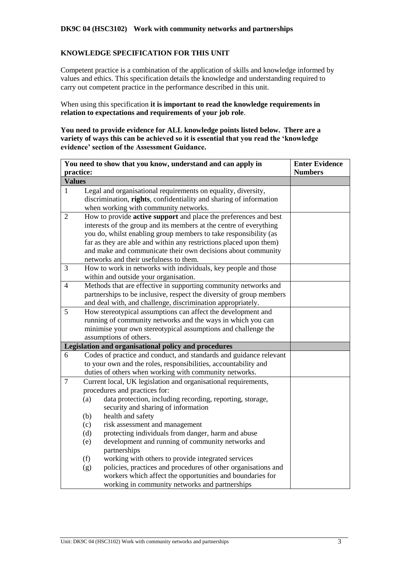## **KNOWLEDGE SPECIFICATION FOR THIS UNIT**

Competent practice is a combination of the application of skills and knowledge informed by values and ethics. This specification details the knowledge and understanding required to carry out competent practice in the performance described in this unit.

When using this specification **it is important to read the knowledge requirements in relation to expectations and requirements of your job role**.

**You need to provide evidence for ALL knowledge points listed below. There are a variety of ways this can be achieved so it is essential that you read the 'knowledge evidence' section of the Assessment Guidance.**

|                | You need to show that you know, understand and can apply in                                                                       | <b>Enter Evidence</b> |
|----------------|-----------------------------------------------------------------------------------------------------------------------------------|-----------------------|
| practice:      |                                                                                                                                   | <b>Numbers</b>        |
| <b>Values</b>  |                                                                                                                                   |                       |
| 1              | Legal and organisational requirements on equality, diversity,                                                                     |                       |
|                | discrimination, rights, confidentiality and sharing of information                                                                |                       |
|                | when working with community networks.                                                                                             |                       |
| $\overline{2}$ | How to provide <b>active support</b> and place the preferences and best                                                           |                       |
|                | interests of the group and its members at the centre of everything                                                                |                       |
|                | you do, whilst enabling group members to take responsibility (as                                                                  |                       |
|                | far as they are able and within any restrictions placed upon them)                                                                |                       |
|                | and make and communicate their own decisions about community                                                                      |                       |
|                | networks and their usefulness to them.                                                                                            |                       |
| 3              | How to work in networks with individuals, key people and those                                                                    |                       |
|                | within and outside your organisation.                                                                                             |                       |
| $\overline{4}$ | Methods that are effective in supporting community networks and                                                                   |                       |
|                | partnerships to be inclusive, respect the diversity of group members                                                              |                       |
|                | and deal with, and challenge, discrimination appropriately.                                                                       |                       |
| 5              | How stereotypical assumptions can affect the development and                                                                      |                       |
|                | running of community networks and the ways in which you can                                                                       |                       |
|                | minimise your own stereotypical assumptions and challenge the                                                                     |                       |
|                | assumptions of others.                                                                                                            |                       |
|                | Legislation and organisational policy and procedures                                                                              |                       |
| 6              | Codes of practice and conduct, and standards and guidance relevant                                                                |                       |
|                | to your own and the roles, responsibilities, accountability and                                                                   |                       |
|                | duties of others when working with community networks.                                                                            |                       |
| $\overline{7}$ | Current local, UK legislation and organisational requirements,                                                                    |                       |
|                | procedures and practices for:                                                                                                     |                       |
|                | data protection, including recording, reporting, storage,<br>(a)                                                                  |                       |
|                | security and sharing of information                                                                                               |                       |
|                | health and safety<br>(b)                                                                                                          |                       |
|                | risk assessment and management<br>(c)                                                                                             |                       |
|                | protecting individuals from danger, harm and abuse<br>(d)                                                                         |                       |
|                | development and running of community networks and<br>(e)                                                                          |                       |
|                | partnerships                                                                                                                      |                       |
|                | working with others to provide integrated services<br>(f)<br>policies, practices and procedures of other organisations and<br>(g) |                       |
|                |                                                                                                                                   |                       |
|                | workers which affect the opportunities and boundaries for                                                                         |                       |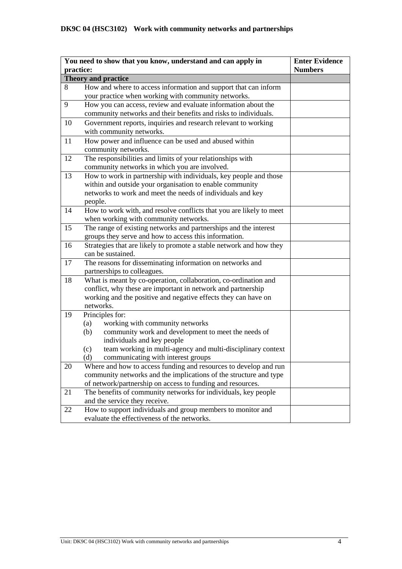|           | You need to show that you know, understand and can apply in                                                                           | <b>Enter Evidence</b> |
|-----------|---------------------------------------------------------------------------------------------------------------------------------------|-----------------------|
| practice: |                                                                                                                                       | <b>Numbers</b>        |
|           | Theory and practice                                                                                                                   |                       |
| 8         | How and where to access information and support that can inform                                                                       |                       |
|           | your practice when working with community networks.                                                                                   |                       |
| 9         | How you can access, review and evaluate information about the                                                                         |                       |
|           | community networks and their benefits and risks to individuals.                                                                       |                       |
| 10        | Government reports, inquiries and research relevant to working                                                                        |                       |
|           | with community networks.                                                                                                              |                       |
| 11        | How power and influence can be used and abused within<br>community networks.                                                          |                       |
| 12        | The responsibilities and limits of your relationships with                                                                            |                       |
|           | community networks in which you are involved.                                                                                         |                       |
| 13        | How to work in partnership with individuals, key people and those                                                                     |                       |
|           | within and outside your organisation to enable community                                                                              |                       |
|           | networks to work and meet the needs of individuals and key                                                                            |                       |
|           | people.                                                                                                                               |                       |
| 14        | How to work with, and resolve conflicts that you are likely to meet                                                                   |                       |
|           | when working with community networks.                                                                                                 |                       |
| 15        | The range of existing networks and partnerships and the interest                                                                      |                       |
|           | groups they serve and how to access this information.                                                                                 |                       |
| 16        | Strategies that are likely to promote a stable network and how they                                                                   |                       |
|           | can be sustained.                                                                                                                     |                       |
| 17        | The reasons for disseminating information on networks and                                                                             |                       |
|           | partnerships to colleagues.                                                                                                           |                       |
| 18        | What is meant by co-operation, collaboration, co-ordination and                                                                       |                       |
|           | conflict, why these are important in network and partnership                                                                          |                       |
|           | working and the positive and negative effects they can have on                                                                        |                       |
|           | networks.                                                                                                                             |                       |
| 19        | Principles for:                                                                                                                       |                       |
|           | working with community networks<br>(a)                                                                                                |                       |
|           | community work and development to meet the needs of<br>(b)                                                                            |                       |
|           | individuals and key people                                                                                                            |                       |
|           | team working in multi-agency and multi-disciplinary context<br>(c)                                                                    |                       |
|           | communicating with interest groups<br>(d)                                                                                             |                       |
| 20        | Where and how to access funding and resources to develop and run<br>community networks and the implications of the structure and type |                       |
|           | of network/partnership on access to funding and resources.                                                                            |                       |
| 21        | The benefits of community networks for individuals, key people                                                                        |                       |
|           | and the service they receive.                                                                                                         |                       |
| 22        | How to support individuals and group members to monitor and                                                                           |                       |
|           | evaluate the effectiveness of the networks.                                                                                           |                       |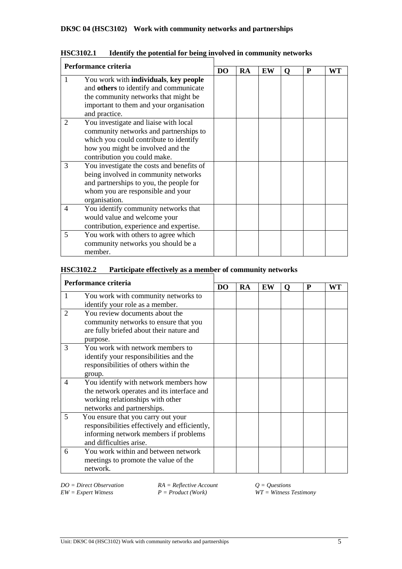| Performance criteria |                                                                                                                                                                                                |           |    |    |   |   |    |
|----------------------|------------------------------------------------------------------------------------------------------------------------------------------------------------------------------------------------|-----------|----|----|---|---|----|
|                      |                                                                                                                                                                                                | <b>DO</b> | RA | EW | O | P | WT |
|                      | You work with individuals, key people<br>and others to identify and communicate<br>the community networks that might be<br>important to them and your organisation<br>and practice.            |           |    |    |   |   |    |
| 2                    | You investigate and liaise with local<br>community networks and partnerships to<br>which you could contribute to identify<br>how you might be involved and the<br>contribution you could make. |           |    |    |   |   |    |
| 3                    | You investigate the costs and benefits of<br>being involved in community networks<br>and partnerships to you, the people for<br>whom you are responsible and your<br>organisation.             |           |    |    |   |   |    |
| 4                    | You identify community networks that<br>would value and welcome your<br>contribution, experience and expertise.                                                                                |           |    |    |   |   |    |
| 5                    | You work with others to agree which<br>community networks you should be a<br>member.                                                                                                           |           |    |    |   |   |    |

| <b>HSC3102.1</b> |  |  | Identify the potential for being involved in community networks |
|------------------|--|--|-----------------------------------------------------------------|
|------------------|--|--|-----------------------------------------------------------------|

# **HSC3102.2 Participate effectively as a member of community networks**

| Performance criteria        |                                               |    |    |    |   |   |    |
|-----------------------------|-----------------------------------------------|----|----|----|---|---|----|
|                             |                                               | DO | RA | EW | Q | P | WT |
| 1                           | You work with community networks to           |    |    |    |   |   |    |
|                             | identify your role as a member.               |    |    |    |   |   |    |
| $\mathcal{D}_{\mathcal{L}}$ | You review documents about the                |    |    |    |   |   |    |
|                             | community networks to ensure that you         |    |    |    |   |   |    |
|                             | are fully briefed about their nature and      |    |    |    |   |   |    |
|                             | purpose.                                      |    |    |    |   |   |    |
| 3                           | You work with network members to              |    |    |    |   |   |    |
|                             | identify your responsibilities and the        |    |    |    |   |   |    |
|                             | responsibilities of others within the         |    |    |    |   |   |    |
|                             | group.                                        |    |    |    |   |   |    |
| $\overline{4}$              | You identify with network members how         |    |    |    |   |   |    |
|                             | the network operates and its interface and    |    |    |    |   |   |    |
|                             | working relationships with other              |    |    |    |   |   |    |
|                             | networks and partnerships.                    |    |    |    |   |   |    |
| 5                           | You ensure that you carry out your            |    |    |    |   |   |    |
|                             | responsibilities effectively and efficiently, |    |    |    |   |   |    |
|                             | informing network members if problems         |    |    |    |   |   |    |
|                             | and difficulties arise.                       |    |    |    |   |   |    |
| 6                           | You work within and between network           |    |    |    |   |   |    |
|                             | meetings to promote the value of the          |    |    |    |   |   |    |
|                             | network.                                      |    |    |    |   |   |    |

*DO* = *Direct Observation RA* = *Reflective Account*  $Q =$  *Questions* <br>*EW* = *Expert Witness* <br>*P* = *Product* (*Work*) *WT* = *Witness* 2

*EW = Expert Witness P = Product (Work) WT = Witness Testimony*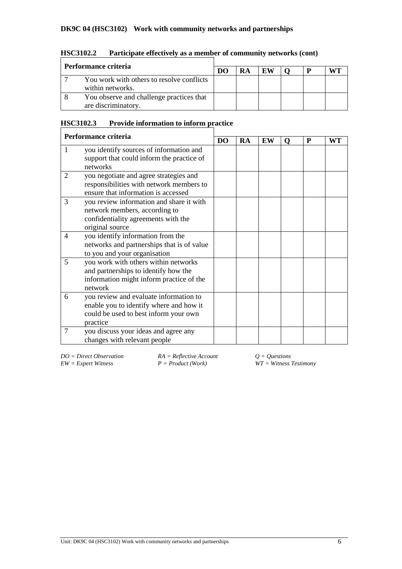### **DK9C 04 (HSC3102) Work with community networks and partnerships**

| Performance criteria                                            | DO | RA | EW |  |  |
|-----------------------------------------------------------------|----|----|----|--|--|
| You work with others to resolve conflicts<br>within networks.   |    |    |    |  |  |
| You observe and challenge practices that<br>are discriminatory. |    |    |    |  |  |

# **HSC3102.2 Participate effectively as a member of community networks (cont)**

# **HSC3102.3 Provide information to inform practice**

| Performance criteria |                                                                                                                                        |                |    |    |   |   |    |
|----------------------|----------------------------------------------------------------------------------------------------------------------------------------|----------------|----|----|---|---|----|
|                      |                                                                                                                                        | D <sub>O</sub> | RA | EW | O | P | WT |
| 1                    | you identify sources of information and<br>support that could inform the practice of<br>networks                                       |                |    |    |   |   |    |
| 2                    | you negotiate and agree strategies and<br>responsibilities with network members to<br>ensure that information is accessed              |                |    |    |   |   |    |
| 3                    | you review information and share it with<br>network members, according to<br>confidentiality agreements with the<br>original source    |                |    |    |   |   |    |
| 4                    | you identify information from the<br>networks and partnerships that is of value<br>to you and your organisation                        |                |    |    |   |   |    |
| 5                    | you work with others within networks<br>and partnerships to identify how the<br>information might inform practice of the<br>network    |                |    |    |   |   |    |
| 6                    | you review and evaluate information to<br>enable you to identify where and how it<br>could be used to best inform your own<br>practice |                |    |    |   |   |    |
| $\overline{7}$       | you discuss your ideas and agree any<br>changes with relevant people                                                                   |                |    |    |   |   |    |

*DO* = *Direct Observation RA* = *Reflective Account Q* = *Questions EW* = *Expert Witness R* = *Product (Work) WT* = *Witness Z* 

 $\widetilde{W}T = \widetilde{W}$  *Witness Testimony*